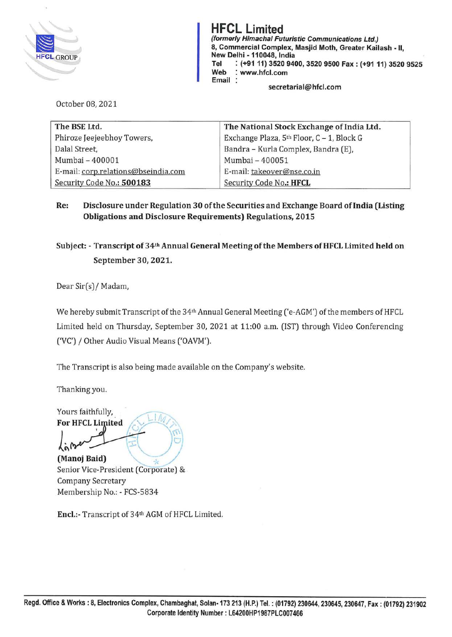

*(formerly Himachal Futuristic Communications Ltd.)* HFCL Limited<br>
(formerly Himachal Futuristic Communications Ltd.)<br>
8, Commercial Complex, Masjid Moth, Greater Kail 8, Commercial Complex, Masjid Moth, Greater Kailash - II, New Delhi -110048, India **Tel** : **(+91 11) 3520 9400, 3520 9500 Fax: (+91 11) 3520 9525 Web** : **www.hfcl.com Email** : **secretarial@hfcl.com** 

October 08, 2021

| The BSE Ltd.                        | The National Stock Exchange of India Ltd. |
|-------------------------------------|-------------------------------------------|
| Phiroze Jeejeebhoy Towers,          | Exchange Plaza, 5th Floor, C - 1, Block G |
| Dalal Street,                       | Bandra - Kurla Complex, Bandra (E),       |
| Mumbai - 400001                     | Mumbai - 400051                           |
| E-mail: corp.relations@bseindia.com | E-mail: takeover@nse.co.in                |
| Security Code No.: 500183           | Security Code No.: HFCL                   |

**Re: Disclosure under Regulation 30 of the Securities and Exchange Board oflndia (Listing Obligations and Disclosure Requirements) Regulations, 2015** 

#### **Subject:** - **Transcript of 34th Annual General Meeting of the Members ofHFCL Limited held on September 30, 2021.**

Dear Sir(s)/ Madam,

We hereby submit Transcript of the 34<sup>th</sup> Annual General Meeting ('e-AGM') of the members of HFCL Limited held on Thursday, September 30, 2021 at 11:00 a.m. (1ST) through Video Conferencing ('VC') / Other Audio Visual Means ('OAVM').

The Transcript is also being made available on the Company's website.

Thanking you.

Yours faithfully,<br>For HFCL Limited For HFCL Limited

**(Manoj Baid)** Senior Vice-President (Corporate) & Company Secretary Membership No.: - FCS-5834

**Encl.:-** Transcript of 34th AGM of HFCL Limited.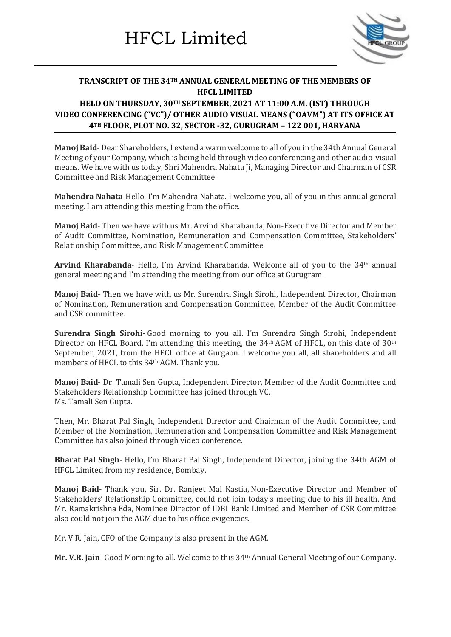

#### **TRANSCRIPT OF THE 34TH ANNUAL GENERAL MEETING OF THE MEMBERS OF HFCL LIMITED**

#### **HELD ON THURSDAY, 30TH SEPTEMBER, 2021 AT 11:00 A.M. (IST) THROUGH VIDEO CONFERENCING ("VC")/ OTHER AUDIO VISUAL MEANS ("OAVM") AT ITS OFFICE AT 4TH FLOOR, PLOT NO. 32, SECTOR -32, GURUGRAM – 122 001, HARYANA**

**Manoj Baid**- Dear Shareholders, I extend a warm welcome to all of you in the 34th Annual General Meeting of your Company, which is being held through video conferencing and other audio-visual means. We have with us today, Shri Mahendra Nahata Ji, Managing Director and Chairman of CSR Committee and Risk Management Committee.

**Mahendra Nahata**-Hello, I'm Mahendra Nahata. I welcome you, all of you in this annual general meeting. I am attending this meeting from the office.

**Manoj Baid**- Then we have with us Mr. Arvind Kharabanda, Non-Executive Director and Member of Audit Committee, Nomination, Remuneration and Compensation Committee, Stakeholders' Relationship Committee, and Risk Management Committee.

**Arvind Kharabanda**- Hello, I'm Arvind Kharabanda. Welcome all of you to the 34th annual general meeting and I'm attending the meeting from our office at Gurugram.

**Manoj Baid**- Then we have with us Mr. Surendra Singh Sirohi, Independent Director, Chairman of Nomination, Remuneration and Compensation Committee, Member of the Audit Committee and CSR committee.

**Surendra Singh Sirohi-** Good morning to you all. I'm Surendra Singh Sirohi, Independent Director on HFCL Board. I'm attending this meeting, the 34<sup>th</sup> AGM of HFCL, on this date of 30<sup>th</sup> September, 2021, from the HFCL office at Gurgaon. I welcome you all, all shareholders and all members of HFCL to this 34th AGM. Thank you.

**Manoj Baid**- Dr. Tamali Sen Gupta, Independent Director, Member of the Audit Committee and Stakeholders Relationship Committee has joined through VC. Ms. Tamali Sen Gupta.

Then, Mr. Bharat Pal Singh, Independent Director and Chairman of the Audit Committee, and Member of the Nomination, Remuneration and Compensation Committee and Risk Management Committee has also joined through video conference.

**Bharat Pal Singh**- Hello, I'm Bharat Pal Singh, Independent Director, joining the 34th AGM of HFCL Limited from my residence, Bombay.

**Manoj Baid**- Thank you, Sir. Dr. Ranjeet Mal Kastia, Non-Executive Director and Member of Stakeholders' Relationship Committee, could not join today's meeting due to his ill health. And Mr. Ramakrishna Eda, Nominee Director of IDBI Bank Limited and Member of CSR Committee also could not join the AGM due to his office exigencies.

Mr. V.R. Jain, CFO of the Company is also present in the AGM.

**Mr. V.R. Jain**- Good Morning to all. Welcome to this 34th Annual General Meeting of our Company.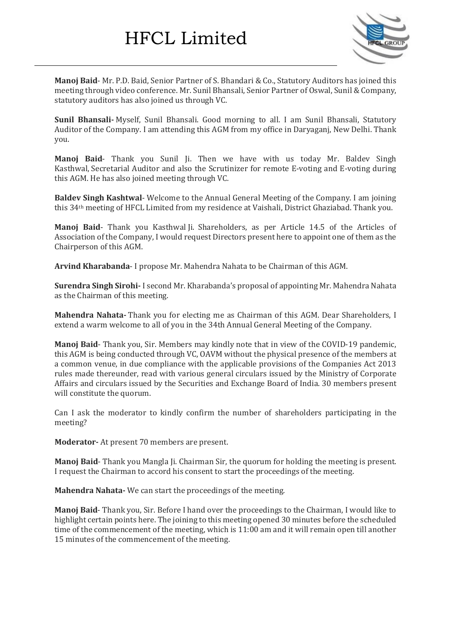

**Manoj Baid**- Mr. P.D. Baid, Senior Partner of S. Bhandari & Co., Statutory Auditors has joined this meeting through video conference. Mr. Sunil Bhansali, Senior Partner of Oswal, Sunil & Company, statutory auditors has also joined us through VC.

**Sunil Bhansali-** Myself, Sunil Bhansali. Good morning to all. I am Sunil Bhansali, Statutory Auditor of the Company. I am attending this AGM from my office in Daryaganj, New Delhi. Thank you.

**Manoj Baid**- Thank you Sunil Ji. Then we have with us today Mr. Baldev Singh Kasthwal, Secretarial Auditor and also the Scrutinizer for remote E-voting and E-voting during this AGM. He has also joined meeting through VC.

**Baldev Singh Kashtwal**- Welcome to the Annual General Meeting of the Company. I am joining this 34th meeting of HFCL Limited from my residence at Vaishali, District Ghaziabad. Thank you.

**Manoj Baid**- Thank you Kasthwal Ji. Shareholders, as per Article 14.5 of the Articles of Association of the Company, I would request Directors present here to appoint one of them as the Chairperson of this AGM.

**Arvind Kharabanda**- I propose Mr. Mahendra Nahata to be Chairman of this AGM.

**Surendra Singh Sirohi-** I second Mr. Kharabanda's proposal of appointing Mr. Mahendra Nahata as the Chairman of this meeting.

**Mahendra Nahata-** Thank you for electing me as Chairman of this AGM. Dear Shareholders, I extend a warm welcome to all of you in the 34th Annual General Meeting of the Company.

**Manoj Baid**- Thank you, Sir. Members may kindly note that in view of the COVID-19 pandemic, this AGM is being conducted through VC, OAVM without the physical presence of the members at a common venue, in due compliance with the applicable provisions of the Companies Act 2013 rules made thereunder, read with various general circulars issued by the Ministry of Corporate Affairs and circulars issued by the Securities and Exchange Board of India. 30 members present will constitute the quorum.

Can I ask the moderator to kindly confirm the number of shareholders participating in the meeting?

**Moderator-** At present 70 members are present.

**Manoj Baid**- Thank you Mangla Ji. Chairman Sir, the quorum for holding the meeting is present. I request the Chairman to accord his consent to start the proceedings of the meeting.

**Mahendra Nahata-** We can start the proceedings of the meeting.

**Manoj Baid**- Thank you, Sir. Before I hand over the proceedings to the Chairman, I would like to highlight certain points here. The joining to this meeting opened 30 minutes before the scheduled time of the commencement of the meeting, which is 11:00 am and it will remain open till another 15 minutes of the commencement of the meeting.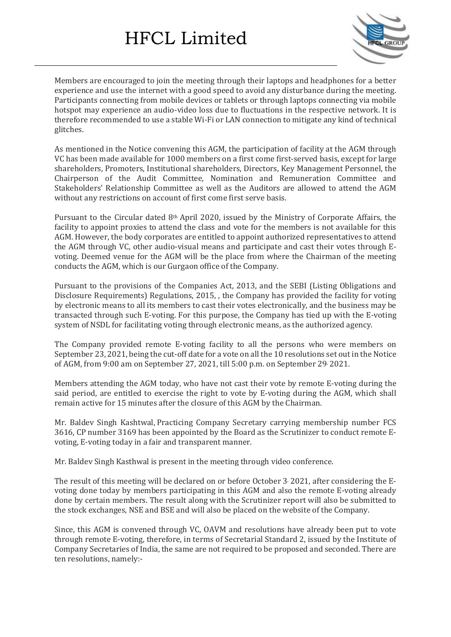

Members are encouraged to join the meeting through their laptops and headphones for a better experience and use the internet with a good speed to avoid any disturbance during the meeting. Participants connecting from mobile devices or tablets or through laptops connecting via mobile hotspot may experience an audio-video loss due to fluctuations in the respective network. It is therefore recommended to use a stable Wi-Fi or LAN connection to mitigate any kind of technical glitches.

As mentioned in the Notice convening this AGM, the participation of facility at the AGM through VC has been made available for 1000 members on a first come first-served basis, except for large shareholders, Promoters, Institutional shareholders, Directors, Key Management Personnel, the Chairperson of the Audit Committee, Nomination and Remuneration Committee and Stakeholders' Relationship Committee as well as the Auditors are allowed to attend the AGM without any restrictions on account of first come first serve basis.

Pursuant to the Circular dated 8th April 2020, issued by the Ministry of Corporate Affairs, the facility to appoint proxies to attend the class and vote for the members is not available for this AGM. However, the body corporates are entitled to appoint authorized representatives to attend the AGM through VC, other audio-visual means and participate and cast their votes through Evoting. Deemed venue for the AGM will be the place from where the Chairman of the meeting conducts the AGM, which is our Gurgaon office of the Company.

Pursuant to the provisions of the Companies Act, 2013, and the SEBI (Listing Obligations and Disclosure Requirements) Regulations, 2015, , the Company has provided the facility for voting by electronic means to all its members to cast their votes electronically, and the business may be transacted through such E-voting. For this purpose, the Company has tied up with the E-voting system of NSDL for facilitating voting through electronic means, as the authorized agency.

The Company provided remote E-voting facility to all the persons who were members on September 23, 2021, being the cut-off date for a vote on all the 10 resolutions set out in the Notice of AGM, from 9:00 am on September 27, 2021, till 5:00 p.m. on September 29, 2021.

Members attending the AGM today, who have not cast their vote by remote E-voting during the said period, are entitled to exercise the right to vote by E-voting during the AGM, which shall remain active for 15 minutes after the closure of this AGM by the Chairman.

Mr. Baldev Singh Kashtwal, Practicing Company Secretary carrying membership number FCS 3616, CP number 3169 has been appointed by the Board as the Scrutinizer to conduct remote Evoting, E-voting today in a fair and transparent manner.

Mr. Baldev Singh Kasthwal is present in the meeting through video conference.

The result of this meeting will be declared on or before October 3, 2021, after considering the Evoting done today by members participating in this AGM and also the remote E-voting already done by certain members. The result along with the Scrutinizer report will also be submitted to the stock exchanges, NSE and BSE and will also be placed on the website of the Company.

Since, this AGM is convened through VC, OAVM and resolutions have already been put to vote through remote E-voting, therefore, in terms of Secretarial Standard 2, issued by the Institute of Company Secretaries of India, the same are not required to be proposed and seconded. There are ten resolutions, namely:-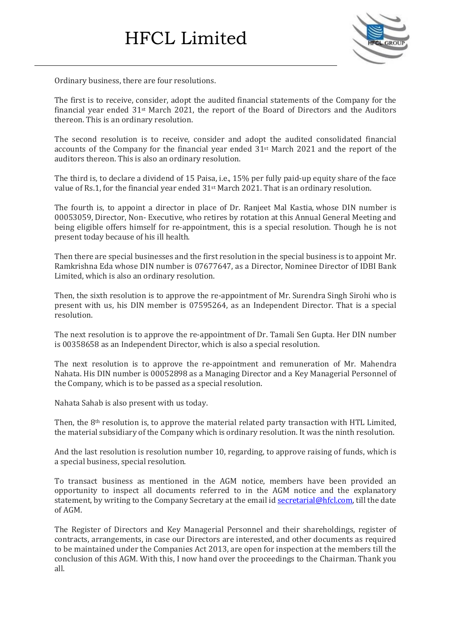

Ordinary business, there are four resolutions.

The first is to receive, consider, adopt the audited financial statements of the Company for the financial year ended 31st March 2021, the report of the Board of Directors and the Auditors thereon. This is an ordinary resolution.

The second resolution is to receive, consider and adopt the audited consolidated financial accounts of the Company for the financial year ended 31st March 2021 and the report of the auditors thereon. This is also an ordinary resolution.

The third is, to declare a dividend of 15 Paisa, i.e., 15% per fully paid-up equity share of the face value of Rs.1, for the financial year ended 31st March 2021. That is an ordinary resolution.

The fourth is, to appoint a director in place of Dr. Ranjeet Mal Kastia, whose DIN number is 00053059, Director, Non- Executive, who retires by rotation at this Annual General Meeting and being eligible offers himself for re-appointment, this is a special resolution. Though he is not present today because of his ill health.

Then there are special businesses and the first resolution in the special business is to appoint Mr. Ramkrishna Eda whose DIN number is 07677647, as a Director, Nominee Director of IDBI Bank Limited, which is also an ordinary resolution.

Then, the sixth resolution is to approve the re-appointment of Mr. Surendra Singh Sirohi who is present with us, his DIN member is 07595264, as an Independent Director. That is a special resolution.

The next resolution is to approve the re-appointment of Dr. Tamali Sen Gupta. Her DIN number is 00358658 as an Independent Director, which is also a special resolution.

The next resolution is to approve the re-appointment and remuneration of Mr. Mahendra Nahata. His DIN number is 00052898 as a Managing Director and a Key Managerial Personnel of the Company, which is to be passed as a special resolution.

Nahata Sahab is also present with us today.

Then, the  $8<sup>th</sup>$  resolution is, to approve the material related party transaction with HTL Limited, the material subsidiary of the Company which is ordinary resolution. It was the ninth resolution.

And the last resolution is resolution number 10, regarding, to approve raising of funds, which is a special business, special resolution.

To transact business as mentioned in the AGM notice, members have been provided an opportunity to inspect all documents referred to in the AGM notice and the explanatory statement, by writing to the Company Secretary at the email id [secretarial@hfcl.com,](mailto:secretarial@hfcl.com) till the date of AGM.

The Register of Directors and Key Managerial Personnel and their shareholdings, register of contracts, arrangements, in case our Directors are interested, and other documents as required to be maintained under the Companies Act 2013, are open for inspection at the members till the conclusion of this AGM. With this, I now hand over the proceedings to the Chairman. Thank you all.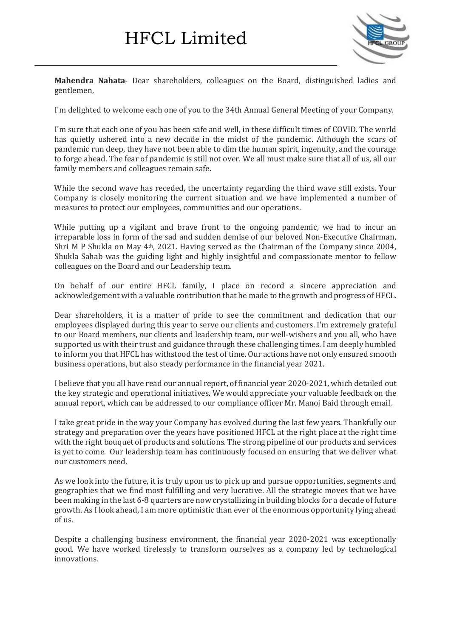

**Mahendra Nahata**- Dear shareholders, colleagues on the Board, distinguished ladies and gentlemen,

I'm delighted to welcome each one of you to the 34th Annual General Meeting of your Company.

I'm sure that each one of you has been safe and well, in these difficult times of COVID. The world has quietly ushered into a new decade in the midst of the pandemic. Although the scars of pandemic run deep, they have not been able to dim the human spirit, ingenuity, and the courage to forge ahead. The fear of pandemic is still not over. We all must make sure that all of us, all our family members and colleagues remain safe.

While the second wave has receded, the uncertainty regarding the third wave still exists. Your Company is closely monitoring the current situation and we have implemented a number of measures to protect our employees, communities and our operations.

While putting up a vigilant and brave front to the ongoing pandemic, we had to incur an irreparable loss in form of the sad and sudden demise of our beloved Non-Executive Chairman, Shri M P Shukla on May 4th, 2021. Having served as the Chairman of the Company since 2004, Shukla Sahab was the guiding light and highly insightful and compassionate mentor to fellow colleagues on the Board and our Leadership team.

On behalf of our entire HFCL family, I place on record a sincere appreciation and acknowledgement with a valuable contribution that he made to the growth and progress of HFCL.

Dear shareholders, it is a matter of pride to see the commitment and dedication that our employees displayed during this year to serve our clients and customers. I'm extremely grateful to our Board members, our clients and leadership team, our well-wishers and you all, who have supported us with their trust and guidance through these challenging times. I am deeply humbled to inform you that HFCL has withstood the test of time. Our actions have not only ensured smooth business operations, but also steady performance in the financial year 2021.

I believe that you all have read our annual report, of financial year 2020-2021, which detailed out the key strategic and operational initiatives. We would appreciate your valuable feedback on the annual report, which can be addressed to our compliance officer Mr. Manoj Baid through email.

I take great pride in the way your Company has evolved during the last few years. Thankfully our strategy and preparation over the years have positioned HFCL at the right place at the right time with the right bouquet of products and solutions. The strong pipeline of our products and services is yet to come. Our leadership team has continuously focused on ensuring that we deliver what our customers need.

As we look into the future, it is truly upon us to pick up and pursue opportunities, segments and geographies that we find most fulfilling and very lucrative. All the strategic moves that we have been making in the last 6-8 quarters are now crystallizing in building blocks for a decade of future growth. As I look ahead, I am more optimistic than ever of the enormous opportunity lying ahead of us.

Despite a challenging business environment, the financial year 2020-2021 was exceptionally good. We have worked tirelessly to transform ourselves as a company led by technological innovations.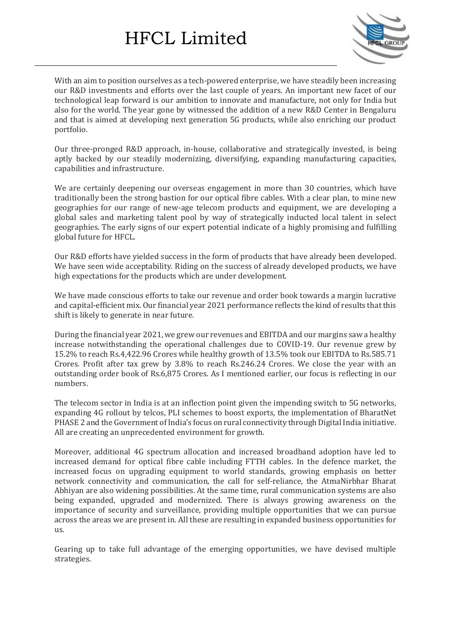

With an aim to position ourselves as a tech-powered enterprise, we have steadily been increasing our R&D investments and efforts over the last couple of years. An important new facet of our technological leap forward is our ambition to innovate and manufacture, not only for India but also for the world. The year gone by witnessed the addition of a new R&D Center in Bengaluru and that is aimed at developing next generation 5G products, while also enriching our product portfolio.

Our three-pronged R&D approach, in-house, collaborative and strategically invested, is being aptly backed by our steadily modernizing, diversifying, expanding manufacturing capacities, capabilities and infrastructure.

We are certainly deepening our overseas engagement in more than 30 countries, which have traditionally been the strong bastion for our optical fibre cables. With a clear plan, to mine new geographies for our range of new-age telecom products and equipment, we are developing a global sales and marketing talent pool by way of strategically inducted local talent in select geographies. The early signs of our expert potential indicate of a highly promising and fulfilling global future for HFCL.

Our R&D efforts have yielded success in the form of products that have already been developed. We have seen wide acceptability. Riding on the success of already developed products, we have high expectations for the products which are under development.

We have made conscious efforts to take our revenue and order book towards a margin lucrative and capital-efficient mix. Our financial year 2021 performance reflects the kind of results that this shift is likely to generate in near future.

During the financial year 2021, we grew our revenues and EBITDA and our margins saw a healthy increase notwithstanding the operational challenges due to COVID-19. Our revenue grew by 15.2% to reach Rs.4,422.96 Crores while healthy growth of 13.5% took our EBITDA to Rs.585.71 Crores. Profit after tax grew by 3.8% to reach Rs.246.24 Crores. We close the year with an outstanding order book of Rs.6,875 Crores. As I mentioned earlier, our focus is reflecting in our numbers.

The telecom sector in India is at an inflection point given the impending switch to 5G networks, expanding 4G rollout by telcos, PLI schemes to boost exports, the implementation of BharatNet PHASE 2 and the Government of India's focus on rural connectivity through Digital India initiative. All are creating an unprecedented environment for growth.

Moreover, additional 4G spectrum allocation and increased broadband adoption have led to increased demand for optical fibre cable including FTTH cables. In the defence market, the increased focus on upgrading equipment to world standards, growing emphasis on better network connectivity and communication, the call for self-reliance, the AtmaNirbhar Bharat Abhiyan are also widening possibilities. At the same time, rural communication systems are also being expanded, upgraded and modernized. There is always growing awareness on the importance of security and surveillance, providing multiple opportunities that we can pursue across the areas we are present in. All these are resulting in expanded business opportunities for us.

Gearing up to take full advantage of the emerging opportunities, we have devised multiple strategies.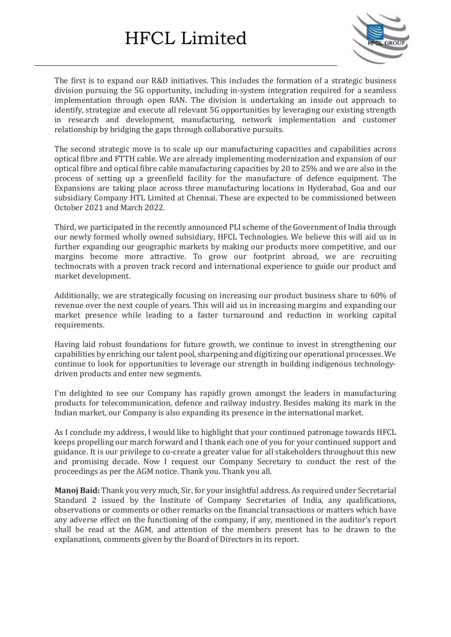

The first is to expand our R&D initiatives. This includes the formation of a strategic business division pursuing the 5G opportunity, including in-system integration required for a seamless implementation through open RAN. The division is undertaking an inside out approach to identify, strategize and execute all relevant 5G opportunities by leveraging our existing strength in research and development, manufacturing, network implementation and customer relationship by bridging the gaps through collaborative pursuits.

The second strategic move is to scale up our manufacturing capacities and capabilities across optical fibre and FTTH cable. We are already implementing modernization and expansion of our optical fibre and optical fibre cable manufacturing capacities by 20 to 25% and we are also in the process of setting up a greenfield facility for the manufacture of defence equipment. The Expansions are taking place across three manufacturing locations in Hyderabad, Goa and our subsidiary Company HTL Limited at Chennai. These are expected to be commissioned between October 2021 and March 2022.

Third, we participated in the recently announced PLI scheme of the Government of India through our newly formed wholly owned subsidiary, HFCL Technologies. We believe this will aid us in further expanding our geographic markets by making our products more competitive, and our margins become more attractive. To grow our footprint abroad, we are recruiting technocrats with a proven track record and international experience to guide our product and market development.

Additionally, we are strategically focusing on increasing our product business share to 60% of revenue over the next couple of years. This will aid us in increasing margins and expanding our market presence while leading to a faster turnaround and reduction in working capital requirements.

Having laid robust foundations for future growth, we continue to invest in strengthening our capabilities by enriching our talent pool, sharpening and digitizing our operational processes. We continue to look for opportunities to leverage our strength in building indigenous technologydriven products and enter new segments.

I'm delighted to see our Company has rapidly grown amongst the leaders in manufacturing products for telecommunication, defence and railway industry. Besides making its mark in the Indian market, our Company is also expanding its presence in the international market.

As I conclude my address, I would like to highlight that your continued patronage towards HFCL keeps propelling our march forward and I thank each one of you for your continued support and guidance. It is our privilege to co-create a greater value for all stakeholders throughout this new and promising decade. Now I request our Company Secretary to conduct the rest of the proceedings as per the AGM notice. Thank you. Thank you all.

**Manoj Baid:** Thank you very much, Sir, for your insightful address. As required under Secretarial Standard 2 issued by the Institute of Company Secretaries of India, any qualifications, observations or comments or other remarks on the financial transactions or matters which have any adverse effect on the functioning of the company, if any, mentioned in the auditor's report shall be read at the AGM, and attention of the members present has to be drawn to the explanations, comments given by the Board of Directors in its report.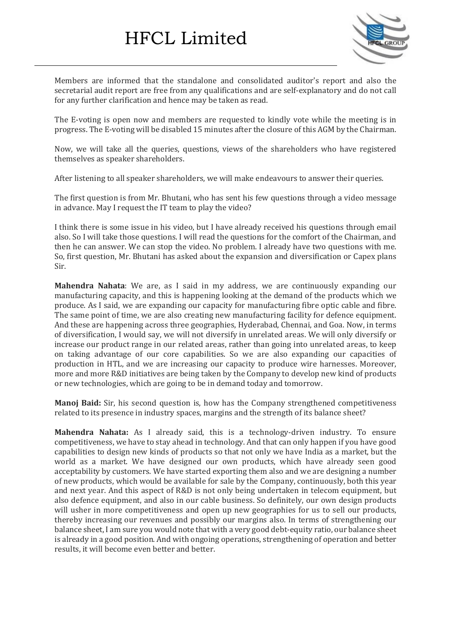

Members are informed that the standalone and consolidated auditor's report and also the secretarial audit report are free from any qualifications and are self-explanatory and do not call for any further clarification and hence may be taken as read.

The E-voting is open now and members are requested to kindly vote while the meeting is in progress. The E-voting will be disabled 15 minutes after the closure of this AGM by the Chairman.

Now, we will take all the queries, questions, views of the shareholders who have registered themselves as speaker shareholders.

After listening to all speaker shareholders, we will make endeavours to answer their queries.

The first question is from Mr. Bhutani, who has sent his few questions through a video message in advance. May I request the IT team to play the video?

I think there is some issue in his video, but I have already received his questions through email also. So I will take those questions. I will read the questions for the comfort of the Chairman, and then he can answer. We can stop the video. No problem. I already have two questions with me. So, first question, Mr. Bhutani has asked about the expansion and diversification or Capex plans Sir.

**Mahendra Nahata**: We are, as I said in my address, we are continuously expanding our manufacturing capacity, and this is happening looking at the demand of the products which we produce. As I said, we are expanding our capacity for manufacturing fibre optic cable and fibre. The same point of time, we are also creating new manufacturing facility for defence equipment. And these are happening across three geographies, Hyderabad, Chennai, and Goa. Now, in terms of diversification, I would say, we will not diversify in unrelated areas. We will only diversify or increase our product range in our related areas, rather than going into unrelated areas, to keep on taking advantage of our core capabilities. So we are also expanding our capacities of production in HTL, and we are increasing our capacity to produce wire harnesses. Moreover, more and more R&D initiatives are being taken by the Company to develop new kind of products or new technologies, which are going to be in demand today and tomorrow.

**Manoj Baid:** Sir, his second question is, how has the Company strengthened competitiveness related to its presence in industry spaces, margins and the strength of its balance sheet?

**Mahendra Nahata:** As I already said, this is a technology-driven industry. To ensure competitiveness, we have to stay ahead in technology. And that can only happen if you have good capabilities to design new kinds of products so that not only we have India as a market, but the world as a market. We have designed our own products, which have already seen good acceptability by customers. We have started exporting them also and we are designing a number of new products, which would be available for sale by the Company, continuously, both this year and next year. And this aspect of R&D is not only being undertaken in telecom equipment, but also defence equipment, and also in our cable business. So definitely, our own design products will usher in more competitiveness and open up new geographies for us to sell our products, thereby increasing our revenues and possibly our margins also. In terms of strengthening our balance sheet, I am sure you would note that with a very good debt-equity ratio, our balance sheet is already in a good position. And with ongoing operations, strengthening of operation and better results, it will become even better and better.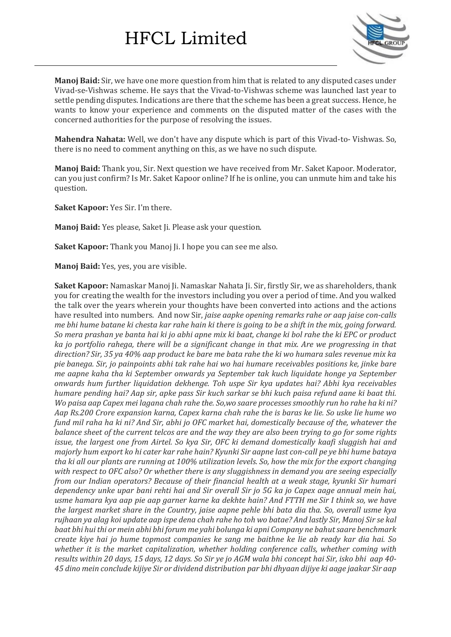

**Manoj Baid:** Sir, we have one more question from him that is related to any disputed cases under Vivad-se-Vishwas scheme. He says that the Vivad-to-Vishwas scheme was launched last year to settle pending disputes. Indications are there that the scheme has been a great success. Hence, he wants to know your experience and comments on the disputed matter of the cases with the concerned authorities for the purpose of resolving the issues.

**Mahendra Nahata:** Well, we don't have any dispute which is part of this Vivad-to- Vishwas. So, there is no need to comment anything on this, as we have no such dispute.

**Manoj Baid:** Thank you, Sir. Next question we have received from Mr. Saket Kapoor. Moderator, can you just confirm? Is Mr. Saket Kapoor online? If he is online, you can unmute him and take his question.

**Saket Kapoor:** Yes Sir. I'm there.

**Manoj Baid:** Yes please, Saket Ji. Please ask your question.

**Saket Kapoor:** Thank you Manoj Ji. I hope you can see me also.

**Manoj Baid:** Yes, yes, you are visible.

**Saket Kapoor:** Namaskar Manoj Ji. Namaskar Nahata Ji. Sir, firstly Sir, we as shareholders, thank you for creating the wealth for the investors including you over a period of time. And you walked the talk over the years wherein your thoughts have been converted into actions and the actions have resulted into numbers. And now Sir, *jaise aapke opening remarks rahe or aap jaise con-calls* me bhi hume batane ki chesta kar rahe hain ki there is going to be a shift in the mix, going forward. So mera prashan ye banta hai ki jo abhi apne mix ki baat, change ki bol rahe the ki EPC or product *ka jo portfolio rahega, there will be a significant change in that mix. Are we progressing in that* direction? Sir, 35 ya 40% aap product ke bare me bata rahe the ki wo humara sales revenue mix ka *pie banega. Sir, jo painpoints abhi tak rahe hai wo hai humare receivables positions ke, jinke bare me aapne kaha tha ki September onwards ya September tak kuch liquidate honge ya September onwards hum further liquidation dekhenge. Toh uspe Sir kya updates hai? Abhi kya receivables* humare pending hai? Aap sir, apke pass Sir kuch sarkar se bhi kuch paisa refund aane ki baat thi. Wo paisa aap Capex mei lagana chah rahe the. So, wo saare processes smoothly run ho rahe ha ki ni? Aap Rs.200 Crore expansion karna, Capex karna chah rahe the is baras ke lie. So uske lie hume wo fund mil raha ha ki ni? And Sir, abhi jo OFC market hai, domestically because of the, whatever the balance sheet of the current telcos are and the way they are also been trying to go for some rights *issue, the largest one from Airtel. So kya Sir, OFC ki demand domestically kaafi sluggish hai and* majorly hum export ko hi cater kar rahe hain? Kyunki Sir aapne last con-call pe ye bhi hume bataya tha ki all our plants are running at 100% utilization levels. So, how the mix for the export changing *with respect to OFC also? Or whether there is any sluggishness in demand you are seeing especially from our Indian operators? Because of their financial health at a weak stage, kyunki Sir humari* dependency unke upar bani rehti hai and Sir overall Sir jo 5G ka jo Capex aage annual mein hai, usme hamara kya aap pie aap garner karne ka dekhte hain? And FTTH me Sir I think so, we have *the largest market share in the Country, jaise aapne pehle bhi bata dia tha. So, overall usme kya* rujhaan ya alag koi update aap ispe dena chah rahe ho toh wo batae? And lastly Sir, Manoj Sir se kal *baat bhi hui thi or mein abhi bhi forum me yahi bolunga ki apni Company ne bahutsaare benchmark* create kiye hai jo hume topmost companies ke sang me baithne ke lie ab ready kar dia hai. So *whether it is the market capitalization, whether holding conference calls, whether coming with* results within 20 days, 15 days, 12 days. So Sir ye jo AGM wala bhi concept hai Sir, isko bhi aap 40-45 dino mein conclude kijiye Sir or dividend distribution par bhi dhyaan dijiye ki aage jaakar Sir aap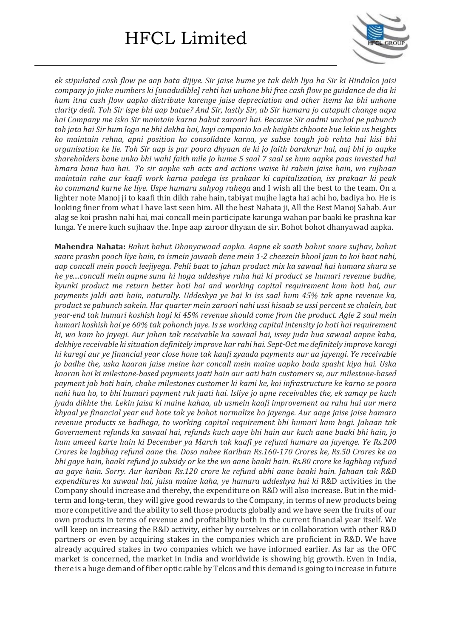

ek stipulated cash flow pe aap bata dijive. Sir jaise hume ve tak dekh liva ha Sir ki Hindalco jaisi *company jo jinke numbers ki [unadudible] rehti hai unhone bhi free cash flow pe guidance de dia ki hum itna cash flow aapko distribute karenge jaise depreciation and other items ka bhi unhone* clarity dedi. Toh Sir ispe bhi aap batae? And Sir, lastly Sir, ab Sir humara jo catapult change aaya *hai Company me isko Sir maintain karna bahut zaroori hai. Because Sir aadmi unchai pe pahunch* toh jata hai Sir hum logo ne bhi dekha hai, kayi companio ko ek heights chhoote hue lekin us heights *ko maintain rehna, apni position ko consolidate karna, ye sabse tough job rehta hai kisi bhi* organisation ke lie. Toh Sir aap is par poora dhyaan de ki jo faith barakrar hai, aaj bhi jo aapke shareholders bane unko bhi wahi faith mile jo hume 5 saal 7 saal se hum aapke paas invested hai *hmara bana hua hai. To sir aapke sab acts and actions waise hi rahein jaise hain, wo rujhaan maintain rahe aur kaafi work karna padega iss prakaar ki capitalization, iss prakaar ki peak ko command karne ke liye. Uspe humara sahyog rahega* and I wish all the best to the team. On a lighter note Manoj ji to kaafi thin dikh rahe hain, tabiyat mujhe lagta hai achi ho, badiya ho. He is looking finer from what I have last seen him. All the best Nahata ji, All the Best Manoj Sahab. Aur alag se koi prashn nahi hai, mai concall mein participate karunga wahan par baaki ke prashna kar lunga. Ye mere kuch sujhaav the. Inpe aap zaroor dhyaan de sir. Bohot bohot dhanyawad aapka.

**Mahendra Nahata:** *Bahut bahut Dhanyawaad aapka. Aapne ek saath bahut saare sujhav, bahut saare prashn pooch liye hain, to ismein jawaab dene mein 1-2 cheezein bhool jaun to koi baat nahi, aap concall mein pooch leejiyega. Pehli baat to jahan product mix ka sawaal hai humara shuru se he ye....concall mein aapne suna hi hoga uddeshye raha hai ki product se humari revenue badhe, kyunki product me return better hoti hai and working capital requirement kam hoti hai, aur payments jaldi aati hain, naturally. Uddeshya ye hai ki iss saal hum 45% tak apne revenue ka, product se pahunch sakein. Har quarter mein zaroori nahi ussi hisaab se ussi percent se chalein, but year-end tak humari koshish hogi ki 45% revenue should come from the product. Agle 2 saal mein humari koshish hai ye 60% tak pohonch jaye. Is se working capital intensity jo hoti hai requirement ki, wo kam ho jayegi. Aur jahan tak receivable ka sawaal hai, issey juda hua sawaal aapne kaha, dekhiye receivable kisituation definitely improve kar rahi hai. Sept-Oct me definitely improve karegi hi karegi aur ye financial year close hone tak kaafi zyaada payments aur aa jayengi. Ye receivable jo badhe the, uska kaaran jaise meine har concall mein maine aapko bada spasht kiya hai. Uska kaaran hai ki milestone-based payments jaati hain aur aati hain customers se, aur milestone-based payment jab hoti hain, chahe milestones customer ki kami ke, koi infrastructure ke karno se poora* nahi hua ho, to bhi humari payment ruk jaati hai. Isliye jo apne receivables the, ek samay pe kuch *jyada dikhte the. Lekin jaisa ki maine kahaa, ab usmein kaafi improvement aa raha hai aur mera khyaal ye financial year end hote tak ye bohot normalize ho jayenge. Aur aage jaise jaise hamara revenue products se badhega, to working capital requirement bhi humari kam hogi. Jahaan tak Governement refunds ka sawaal hai, refunds kuch aaye bhi hain aur kuch aane baaki bhi hain, jo hum umeed karte hain ki December ya March tak kaafi ye refund humare aa jayenge. Ye Rs.200 Crores ke lagbhag refund aane the. Doso nahee Kariban Rs.160-170 Crores ke, Rs.50 Crores ke aa* bhi gaye hain, baaki refund jo subsidy or ke the wo aane baaki hain. Rs.80 crore ke lagbhag refund *aa gaye hain. Sorry. Aur kariban Rs.120 crore ke refund abhi aane baaki hain. Jahaan tak R&D expenditures ka sawaal hai, jaisa maine kaha, ye hamara uddeshya hai ki* R&D activities in the Company should increase and thereby, the expenditure on R&D will also increase. But in the midterm and long-term, they will give good rewards to the Company, in terms of new products being more competitive and the ability to sell those products globally and we have seen the fruits of our own products in terms of revenue and profitability both in the current financial year itself. We will keep on increasing the R&D activity, either by ourselves or in collaboration with other R&D partners or even by acquiring stakes in the companies which are proficient in R&D. We have already acquired stakes in two companies which we have informed earlier. As far as the OFC market is concerned, the market in India and worldwide is showing big growth. Even in India, there is a huge demand of fiber optic cable by Telcos and this demand is going to increase in future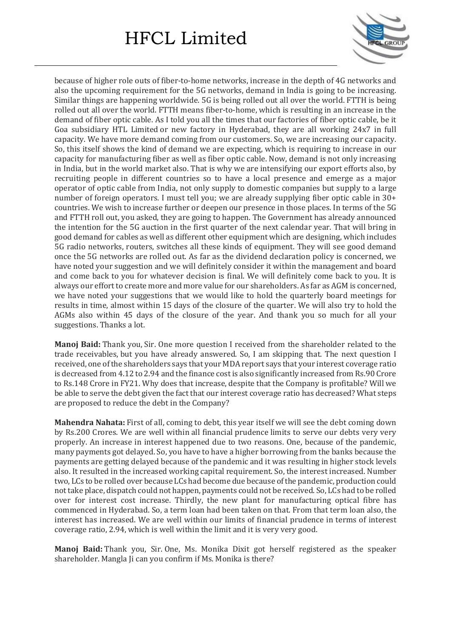

because of higher role outs of fiber-to-home networks, increase in the depth of 4G networks and also the upcoming requirement for the 5G networks, demand in India is going to be increasing. Similar things are happening worldwide. 5G is being rolled out all over the world. FTTH is being rolled out all over the world. FTTH means fiber-to-home, which is resulting in an increase in the demand of fiber optic cable. As I told you all the times that our factories of fiber optic cable, be it Goa subsidiary HTL Limited or new factory in Hyderabad, they are all working 24x7 in full capacity. We have more demand coming from our customers. So, we are increasing our capacity. So, this itself shows the kind of demand we are expecting, which is requiring to increase in our capacity for manufacturing fiber as well as fiber optic cable. Now, demand is not only increasing in India, but in the world market also. That is why we are intensifying our export efforts also, by recruiting people in different countries so to have a local presence and emerge as a major operator of optic cable from India, not only supply to domestic companies but supply to a large number of foreign operators. I must tell you; we are already supplying fiber optic cable in 30+ countries. We wish to increase further or deepen our presence in those places. In terms of the 5G and FTTH roll out, you asked, they are going to happen. The Government has already announced the intention for the 5G auction in the first quarter of the next calendar year. That will bring in good demand for cables as well as different other equipment which are designing, which includes 5G radio networks, routers, switches all these kinds of equipment. They will see good demand once the 5G networks are rolled out. As far as the dividend declaration policy is concerned, we have noted your suggestion and we will definitely consider it within the management and board and come back to you for whatever decision is final. We will definitely come back to you. It is always our effort to create more and more value for our shareholders. As far as AGM is concerned, we have noted your suggestions that we would like to hold the quarterly board meetings for results in time, almost within 15 days of the closure of the quarter. We will also try to hold the AGMs also within 45 days of the closure of the year. And thank you so much for all your suggestions. Thanks a lot.

**Manoj Baid:** Thank you, Sir. One more question I received from the shareholder related to the trade receivables, but you have already answered. So, I am skipping that. The next question I received, one ofthe shareholders says that your MDA report says that your interest coverage ratio is decreased from 4.12 to 2.94 and the finance cost is also significantly increased from Rs.90 Crore to Rs.148 Crore in FY21. Why does that increase, despite that the Company is profitable? Will we be able to serve the debt given the fact that our interest coverage ratio has decreased? What steps are proposed to reduce the debt in the Company?

**Mahendra Nahata:** First of all, coming to debt, this year itself we will see the debt coming down by Rs.200 Crores. We are well within all financial prudence limits to serve our debts very very properly. An increase in interest happened due to two reasons. One, because of the pandemic, many payments got delayed. So, you have to have a higher borrowing from the banks because the payments are getting delayed because of the pandemic and it was resulting in higher stock levels also. It resulted in the increased working capital requirement. So, the interest increased. Number two, LCs to be rolled over because LCs had become due because ofthe pandemic, production could nottake place, dispatch could not happen, payments could not be received. So, LCs had to be rolled over for interest cost increase. Thirdly, the new plant for manufacturing optical fibre has commenced in Hyderabad. So, a term loan had been taken on that. From that term loan also, the interest has increased. We are well within our limits of financial prudence in terms of interest coverage ratio, 2.94, which is well within the limit and it is very very good.

**Manoj Baid:** Thank you, Sir. One, Ms. Monika Dixit got herself registered as the speaker shareholder. Mangla Ji can you confirm if Ms. Monika is there?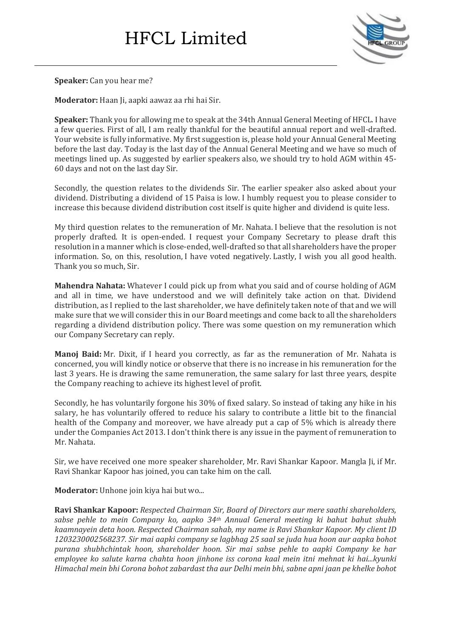

**Speaker:** Can you hear me?

**Moderator:** Haan Ji, aapki aawaz aa rhi hai Sir.

**Speaker:** Thank you for allowing me to speak at the 34th Annual General Meeting of HFCL. I have a few queries. First of all, I am really thankful for the beautiful annual report and well-drafted. Your website is fully informative. My first suggestion is, please hold your Annual General Meeting before the last day. Today is the last day of the Annual General Meeting and we have so much of meetings lined up. As suggested by earlier speakers also, we should try to hold AGM within 45- 60 days and not on the last day Sir.

Secondly, the question relates to the dividends Sir. The earlier speaker also asked about your dividend. Distributing a dividend of 15 Paisa is low. I humbly request you to please consider to increase this because dividend distribution cost itself is quite higher and dividend is quite less.

My third question relates to the remuneration of Mr. Nahata. I believe that the resolution is not properly drafted. It is open-ended. I request your Company Secretary to please draft this resolution in a manner which is close-ended, well-drafted so that all shareholders have the proper information. So, on this, resolution, I have voted negatively. Lastly, I wish you all good health. Thank you so much, Sir.

**Mahendra Nahata:** Whatever I could pick up from what you said and of course holding of AGM and all in time, we have understood and we will definitely take action on that. Dividend distribution, as I replied to the last shareholder, we have definitely taken note of that and we will make sure that we will consider this in our Board meetings and come back to all the shareholders regarding a dividend distribution policy. There was some question on my remuneration which our Company Secretary can reply.

**Manoj Baid:** Mr. Dixit, if I heard you correctly, as far as the remuneration of Mr. Nahata is concerned, you will kindly notice or observe that there is no increase in his remuneration for the last 3 years. He is drawing the same remuneration, the same salary for last three years, despite the Company reaching to achieve its highest level of profit.

Secondly, he has voluntarily forgone his 30% of fixed salary. So instead of taking any hike in his salary, he has voluntarily offered to reduce his salary to contribute a little bit to the financial health of the Company and moreover, we have already put a cap of 5% which is already there under the Companies Act 2013. I don't think there is any issue in the payment of remuneration to Mr. Nahata.

Sir, we have received one more speaker shareholder, Mr. Ravi Shankar Kapoor. Mangla Ji, if Mr. Ravi Shankar Kapoor has joined, you can take him on the call.

**Moderator:** Unhone join kiya hai but wo...

**Ravi Shankar Kapoor:** *Respected Chairman Sir, Board of Directors aur mere saathi shareholders, sabse pehle to mein Company ko, aapko 34th Annual General meeting ki bahut bahut shubh kaamnayein deta hoon. Respected Chairman sahab, my name is Ravi Shankar Kapoor. My client ID 1203230002568237. Sir mai aapki company se lagbhag 25 saal se juda hua hoon aur aapka bohot purana shubhchintak hoon, shareholder hoon. Sir mai sabse pehle to aapki Company ke har employee ko salute karna chahta hoon jinhone iss corona kaal mein itni mehnat ki hai...kyunki Himachal mein bhi Corona bohot zabardast tha aur Delhi mein bhi, sabne apni jaan pe khelke bohot*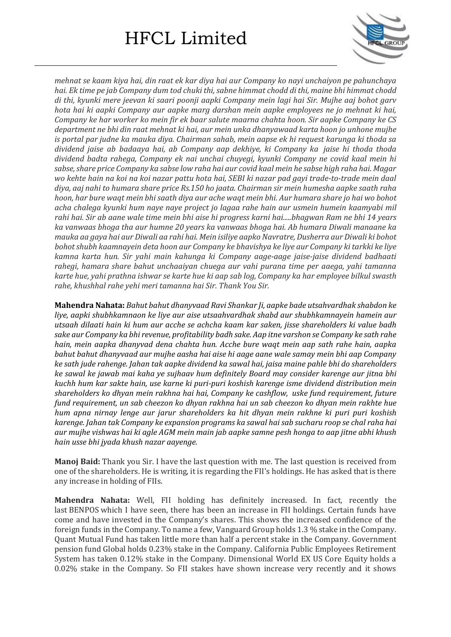

*mehnat se kaam kiya hai, din raat ek kar diya hai aur Company ko nayi unchaiyon pe pahunchaya hai. Ek time pe jab Company dum tod chuki thi, sabne himmat chodd di thi, maine bhi himmat chodd di thi, kyunki mere jeevan ki saari poonji aapki Company mein lagi hai Sir. Mujhe aaj bohot garv hota hai ki aapki Company aur aapke marg darshan mein aapke employees ne jo mehnat ki hai, Company ke har worker ko mein fir ek baar salute maarna chahta hoon. Sir aapke Company ke CS department ne bhi din raat mehnat ki hai, aur mein unka dhanyawaad karta hoon jo unhone mujhe is portal par judne ka mauka diya. Chairman sahab, mein aapse ek hi request karunga ki thoda sa dividend jaise ab badaaya hai, ab Company aap dekhiye, ki Company ka jaise hi thoda thoda dividend badta rahega, Company ek nai unchai chuyegi, kyunki Company ne covid kaal mein hi sabse,share price Company ka sabse low raha hai aur covid kaal mein he sabse high raha hai. Magar* wo kehte hain na koi na koi nazar pattu hota hai, SEBI ki nazar pad gayi trade-to-trade mein daal *diya, aaj nahi to humara share price Rs.150 ho jaata. Chairman sir mein humesha aapke saath raha* hoon, har bure waqt mein bhi saath diya aur ache waqt mein bhi. Aur humara share jo hai wo bohot *acha chalega kyunki hum naye naye project jo lagaa rahe hain aur usmein humein kaamyabi mil* rahi hai. Sir ab aane wale time mein bhi aise hi progress karni hai.....bhagwan Ram ne bhi 14 years *ka vanwaas bhoga tha aur humne 20 years ka vanwaas bhoga hai. Ab humara Diwali manaane ka* mauka aa gaya hai aur Diwali aa rahi hai. Mein isiliye aapko Navratre, Dusherra aur Diwali ki bohot *bohotshubh kaamnayein deta hoon aur Company ke bhavishya ke liye aur Company ki tarkki ke liye kamna karta hun. Sir yahi main kahunga ki Company aage-aage jaise-jaise dividend badhaati rahegi, hamara share bahut unchaaiyan chuega aur vahi purana time per aaega, yahi tamanna karte hue, yahi prathna ishwar se karte hue ki aap sab log, Company ka har employee bilkul swasth rahe, khushhal rahe yehi meri tamanna hai Sir. Thank You Sir.*

**Mahendra Nahata:** *Bahut bahut dhanyvaad Ravi Shankar Ji, aapke bade utsahvardhak shabdon ke liye, aapki shubhkamnaon ke liye aur aise utsaahvardhak shabd aur shubhkamnayein hamein aur utsaah dilaati hain ki hum aur acche se achcha kaam kar saken, jisse shareholders ki value badh sake aur Company ka bhi revenue, profitability badh sake. Aap itne varshon se Company ke sath rahe hain, mein aapka dhanyvad dena chahta hun. Acche bure waqt mein aap sath rahe hain, aapka bahut bahut dhanyvaad aur mujhe aasha hai aise hi aage aane wale samay mein bhi aap Company ke sath jude rahenge. Jahan tak aapke dividend ka sawal hai, jaisa maine pahle bhi do shareholders ke sawal ke jawab mai kaha ye sujhaav hum definitely Board may consider karenge aur jitna bhi kuchh hum kar sakte hain, use karne ki puri-puri koshish karenge isme dividend distribution mein shareholders ko dhyan mein rakhna hai hai, Company ke cashflow, uske fund requirement, future fund requirement, un sab cheezon ko dhyan rakhna hai un sab cheezon ko dhyan mein rakhte hue hum apna nirnay lenge aur jarur shareholders ka hit dhyan mein rakhne ki puri puri koshish karenge. Jahan tak Company ke expansion programs ka sawal hai sab sucharu roop se chal raha hai* aur mujhe vishwas hai ki agle AGM mein main jab aapke samne pesh honga to aap jitne abhi khush *hain usse bhi jyada khush nazar aayenge.*

**Manoj Baid:** Thank you Sir. I have the last question with me. The last question is received from one of the shareholders. He is writing, it is regarding the FII's holdings. He has asked that is there any increase in holding of FIIs.

**Mahendra Nahata:** Well, FII holding has definitely increased. In fact, recently the last BENPOS which I have seen, there has been an increase in FII holdings. Certain funds have come and have invested in the Company's shares. This shows the increased confidence of the foreign funds in the Company. To name a few, Vanguard Group holds 1.3 % stake in the Company. Quant Mutual Fund has taken little more than half a percent stake in the Company. Government pension fund Global holds 0.23% stake in the Company. California Public Employees Retirement System has taken 0.12% stake in the Company. Dimensional World EX US Core Equity holds a 0.02% stake in the Company. So FII stakes have shown increase very recently and it shows